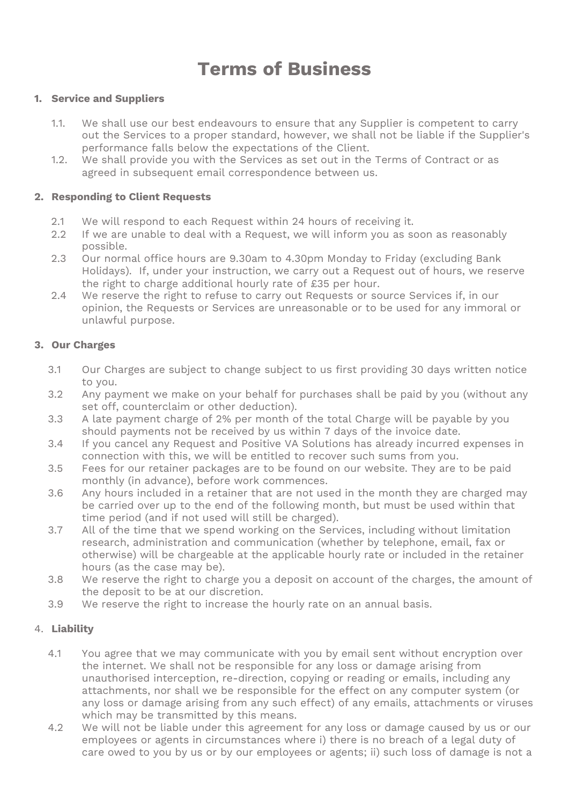# **Terms of Business**

#### **1. Service and Suppliers**

- 1.1. We shall use our best endeavours to ensure that any Supplier is competent to carry out the Services to a proper standard, however, we shall not be liable if the Supplier's performance falls below the expectations of the Client.
- 1.2. We shall provide you with the Services as set out in the Terms of Contract or as agreed in subsequent email correspondence between us.

#### **2. Responding to Client Requests**

- 2.1 We will respond to each Request within 24 hours of receiving it.
- 2.2 If we are unable to deal with a Request, we will inform you as soon as reasonably possible.
- 2.3 Our normal office hours are 9.30am to 4.30pm Monday to Friday (excluding Bank Holidays). If, under your instruction, we carry out a Request out of hours, we reserve the right to charge additional hourly rate of £35 per hour.
- 2.4 We reserve the right to refuse to carry out Requests or source Services if, in our opinion, the Requests or Services are unreasonable or to be used for any immoral or unlawful purpose.

#### **3. Our Charges**

- 3.1 Our Charges are subject to change subject to us first providing 30 days written notice to you.
- 3.2 Any payment we make on your behalf for purchases shall be paid by you (without any set off, counterclaim or other deduction).
- 3.3 A late payment charge of 2% per month of the total Charge will be payable by you should payments not be received by us within 7 days of the invoice date.
- 3.4 If you cancel any Request and Positive VA Solutions has already incurred expenses in connection with this, we will be entitled to recover such sums from you.
- 3.5 Fees for our retainer packages are to be found on our website. They are to be paid monthly (in advance), before work commences.
- 3.6 Any hours included in a retainer that are not used in the month they are charged may be carried over up to the end of the following month, but must be used within that time period (and if not used will still be charged).
- 3.7 All of the time that we spend working on the Services, including without limitation research, administration and communication (whether by telephone, email, fax or otherwise) will be chargeable at the applicable hourly rate or included in the retainer hours (as the case may be).
- 3.8 We reserve the right to charge you a deposit on account of the charges, the amount of the deposit to be at our discretion.
- 3.9 We reserve the right to increase the hourly rate on an annual basis.

## 4. **Liability**

- 4.1 You agree that we may communicate with you by email sent without encryption over the internet. We shall not be responsible for any loss or damage arising from unauthorised interception, re-direction, copying or reading or emails, including any attachments, nor shall we be responsible for the effect on any computer system (or any loss or damage arising from any such effect) of any emails, attachments or viruses which may be transmitted by this means.
- 4.2 We will not be liable under this agreement for any loss or damage caused by us or our employees or agents in circumstances where i) there is no breach of a legal duty of care owed to you by us or by our employees or agents; ii) such loss of damage is not a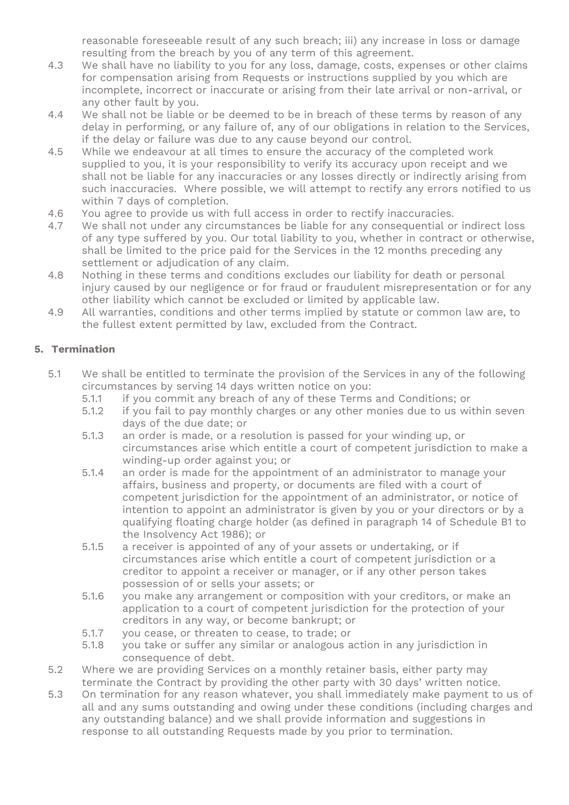reasonable foreseeable result of any such breach; iii) any increase in loss or damage resulting from the breach by you of any term of this agreement.

- 4.3 We shall have no liability to you for any loss, damage, costs, expenses or other claims for compensation arising from Requests or instructions supplied by you which are incomplete, incorrect or inaccurate or arising from their late arrival or non-arrival, or any other fault by you.
- 4.4 We shall not be liable or be deemed to be in breach of these terms by reason of any delay in performing, or any failure of, any of our obligations in relation to the Services, if the delay or failure was due to any cause beyond our control.
- 4.5 While we endeavour at all times to ensure the accuracy of the completed work supplied to you, it is your responsibility to verify its accuracy upon receipt and we shall not be liable for any inaccuracies or any losses directly or indirectly arising from such inaccuracies. Where possible, we will attempt to rectify any errors notified to us within 7 days of completion.
- 4.6 You agree to provide us with full access in order to rectify inaccuracies.
- 4.7 We shall not under any circumstances be liable for any consequential or indirect loss of any type suffered by you. Our total liability to you, whether in contract or otherwise, shall be limited to the price paid for the Services in the 12 months preceding any settlement or adjudication of any claim.
- 4.8 Nothing in these terms and conditions excludes our liability for death or personal injury caused by our negligence or for fraud or fraudulent misrepresentation or for any other liability which cannot be excluded or limited by applicable law.
- 4.9 All warranties, conditions and other terms implied by statute or common law are, to the fullest extent permitted by law, excluded from the Contract.

## **5. Termination**

- 5.1 We shall be entitled to terminate the provision of the Services in any of the following circumstances by serving 14 days written notice on you:
	- 5.1.1 if you commit any breach of any of these Terms and Conditions; or
	- 5.1.2 if you fail to pay monthly charges or any other monies due to us within seven days of the due date; or
	- 5.1.3 an order is made, or a resolution is passed for your winding up, or circumstances arise which entitle a court of competent jurisdiction to make a winding-up order against you; or
	- 5.1.4 an order is made for the appointment of an administrator to manage your affairs, business and property, or documents are filed with a court of competent jurisdiction for the appointment of an administrator, or notice of intention to appoint an administrator is given by you or your directors or by a qualifying floating charge holder (as defined in paragraph 14 of Schedule B1 to the Insolvency Act 1986); or
	- 5.1.5 a receiver is appointed of any of your assets or undertaking, or if circumstances arise which entitle a court of competent jurisdiction or a creditor to appoint a receiver or manager, or if any other person takes possession of or sells your assets; or
	- 5.1.6 you make any arrangement or composition with your creditors, or make an application to a court of competent jurisdiction for the protection of your creditors in any way, or become bankrupt; or
	- 5.1.7 you cease, or threaten to cease, to trade; or
	- 5.1.8 you take or suffer any similar or analogous action in any jurisdiction in consequence of debt.
- 5.2 Where we are providing Services on a monthly retainer basis, either party may terminate the Contract by providing the other party with 30 days' written notice.
- 5.3 On termination for any reason whatever, you shall immediately make payment to us of all and any sums outstanding and owing under these conditions (including charges and any outstanding balance) and we shall provide information and suggestions in response to all outstanding Requests made by you prior to termination.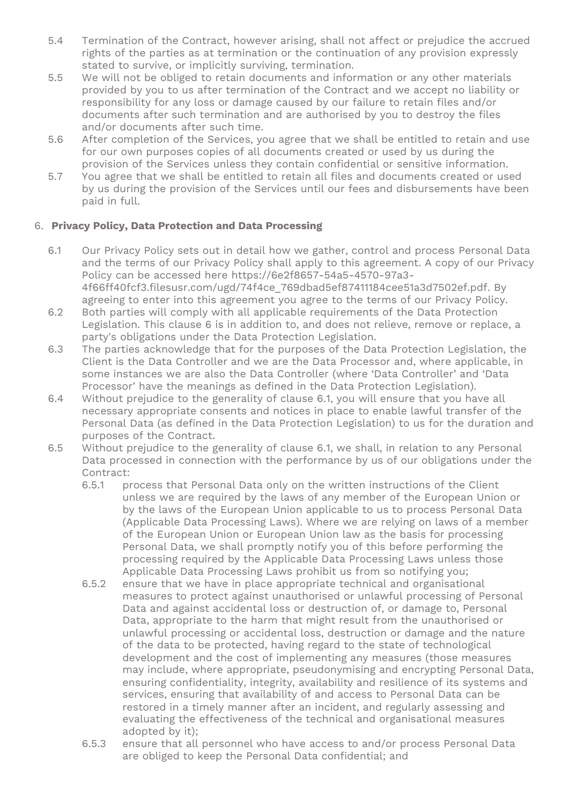- 5.4 Termination of the Contract, however arising, shall not affect or prejudice the accrued rights of the parties as at termination or the continuation of any provision expressly stated to survive, or implicitly surviving, termination.
- 5.5 We will not be obliged to retain documents and information or any other materials provided by you to us after termination of the Contract and we accept no liability or responsibility for any loss or damage caused by our failure to retain files and/or documents after such termination and are authorised by you to destroy the files and/or documents after such time.
- 5.6 After completion of the Services, you agree that we shall be entitled to retain and use for our own purposes copies of all documents created or used by us during the provision of the Services unless they contain confidential or sensitive information.
- 5.7 You agree that we shall be entitled to retain all files and documents created or used by us during the provision of the Services until our fees and disbursements have been paid in full.

# 6. **Privacy Policy, Data Protection and Data Processing**

- 6.1 Our Privacy Policy sets out in detail how we gather, control and process Personal Data and the terms of our Privacy Policy shall apply to this agreement. A copy of our Privacy Policy can be accessed here [https://6e2f8657-54a5-4570-97a3-](https://6e2f8657-54a5-4570-97a3-4f66ff40fcf3.filesusr.com/ugd/74f4ce_769dbad5ef87411184cee51a3d7502ef.pdf) [4f66ff40fcf3.filesusr.com/ugd/74f4ce\\_769dbad5ef87411184cee51a3d7502ef.pdf.](https://6e2f8657-54a5-4570-97a3-4f66ff40fcf3.filesusr.com/ugd/74f4ce_769dbad5ef87411184cee51a3d7502ef.pdf) By agreeing to enter into this agreement you agree to the terms of our Privacy Policy.
- 6.2 Both parties will comply with all applicable requirements of the Data Protection Legislation. This clause 6 is in addition to, and does not relieve, remove or replace, a party's obligations under the Data Protection Legislation.
- 6.3 The parties acknowledge that for the purposes of the Data Protection Legislation, the Client is the Data Controller and we are the Data Processor and, where applicable, in some instances we are also the Data Controller (where 'Data Controller' and 'Data Processor' have the meanings as defined in the Data Protection Legislation).
- 6.4 Without prejudice to the generality of clause 6.1, you will ensure that you have all necessary appropriate consents and notices in place to enable lawful transfer of the Personal Data (as defined in the Data Protection Legislation) to us for the duration and purposes of the Contract.
- 6.5 Without prejudice to the generality of clause 6.1, we shall, in relation to any Personal Data processed in connection with the performance by us of our obligations under the Contract:
	- 6.5.1 process that Personal Data only on the written instructions of the Client unless we are required by the laws of any member of the European Union or by the laws of the European Union applicable to us to process Personal Data (Applicable Data Processing Laws). Where we are relying on laws of a member of the European Union or European Union law as the basis for processing Personal Data, we shall promptly notify you of this before performing the processing required by the Applicable Data Processing Laws unless those Applicable Data Processing Laws prohibit us from so notifying you;
	- 6.5.2 ensure that we have in place appropriate technical and organisational measures to protect against unauthorised or unlawful processing of Personal Data and against accidental loss or destruction of, or damage to, Personal Data, appropriate to the harm that might result from the unauthorised or unlawful processing or accidental loss, destruction or damage and the nature of the data to be protected, having regard to the state of technological development and the cost of implementing any measures (those measures may include, where appropriate, pseudonymising and encrypting Personal Data, ensuring confidentiality, integrity, availability and resilience of its systems and services, ensuring that availability of and access to Personal Data can be restored in a timely manner after an incident, and regularly assessing and evaluating the effectiveness of the technical and organisational measures adopted by it);
	- 6.5.3 ensure that all personnel who have access to and/or process Personal Data are obliged to keep the Personal Data confidential; and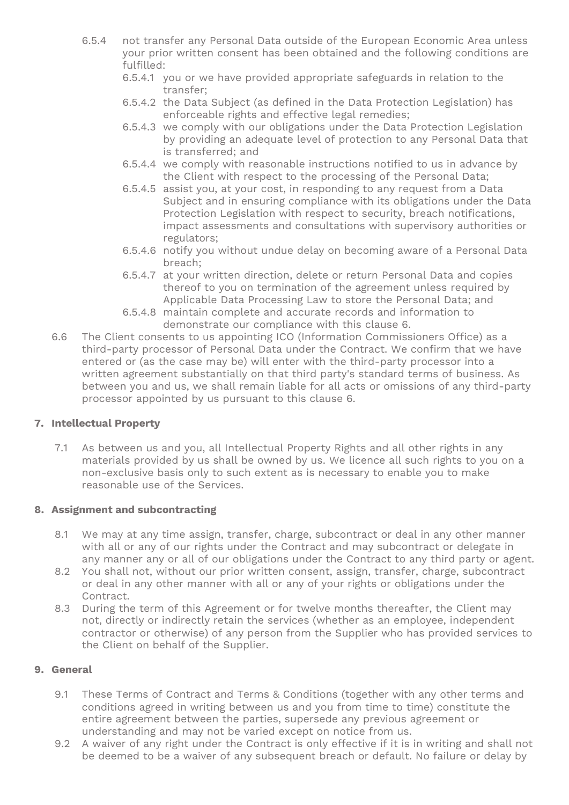- 6.5.4 not transfer any Personal Data outside of the European Economic Area unless your prior written consent has been obtained and the following conditions are fulfilled:
	- 6.5.4.1 you or we have provided appropriate safeguards in relation to the transfer;
	- 6.5.4.2 the Data Subject (as defined in the Data Protection Legislation) has enforceable rights and effective legal remedies;
	- 6.5.4.3 we comply with our obligations under the Data Protection Legislation by providing an adequate level of protection to any Personal Data that is transferred; and
	- 6.5.4.4 we comply with reasonable instructions notified to us in advance by the Client with respect to the processing of the Personal Data;
	- 6.5.4.5 assist you, at your cost, in responding to any request from a Data Subject and in ensuring compliance with its obligations under the Data Protection Legislation with respect to security, breach notifications, impact assessments and consultations with supervisory authorities or regulators;
	- 6.5.4.6 notify you without undue delay on becoming aware of a Personal Data breach;
	- 6.5.4.7 at your written direction, delete or return Personal Data and copies thereof to you on termination of the agreement unless required by Applicable Data Processing Law to store the Personal Data; and
	- 6.5.4.8 maintain complete and accurate records and information to demonstrate our compliance with this clause 6.
- 6.6 The Client consents to us appointing ICO (Information Commissioners Office) as a third-party processor of Personal Data under the Contract. We confirm that we have entered or (as the case may be) will enter with the third-party processor into a written agreement substantially on that third party's standard terms of business. As between you and us, we shall remain liable for all acts or omissions of any third-party processor appointed by us pursuant to this clause 6.

## **7. Intellectual Property**

7.1 As between us and you, all Intellectual Property Rights and all other rights in any materials provided by us shall be owned by us. We licence all such rights to you on a non-exclusive basis only to such extent as is necessary to enable you to make reasonable use of the Services.

## **8. Assignment and subcontracting**

- 8.1 We may at any time assign, transfer, charge, subcontract or deal in any other manner with all or any of our rights under the Contract and may subcontract or delegate in any manner any or all of our obligations under the Contract to any third party or agent.
- 8.2 You shall not, without our prior written consent, assign, transfer, charge, subcontract or deal in any other manner with all or any of your rights or obligations under the Contract.
- 8.3 During the term of this Agreement or for twelve months thereafter, the Client may not, directly or indirectly retain the services (whether as an employee, independent contractor or otherwise) of any person from the Supplier who has provided services to the Client on behalf of the Supplier.

## **9. General**

- 9.1 These Terms of Contract and Terms & Conditions (together with any other terms and conditions agreed in writing between us and you from time to time) constitute the entire agreement between the parties, supersede any previous agreement or understanding and may not be varied except on notice from us.
- 9.2 A waiver of any right under the Contract is only effective if it is in writing and shall not be deemed to be a waiver of any subsequent breach or default. No failure or delay by